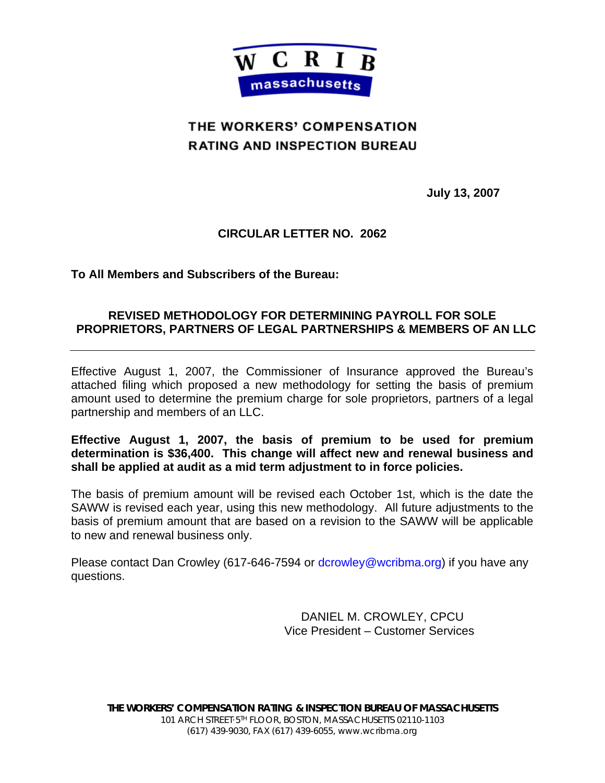

# THE WORKERS' COMPENSATION **RATING AND INSPECTION BUREAU**

**July 13, 2007** 

## **CIRCULAR LETTER NO. 2062**

**To All Members and Subscribers of the Bureau:** 

### **REVISED METHODOLOGY FOR DETERMINING PAYROLL FOR SOLE PROPRIETORS, PARTNERS OF LEGAL PARTNERSHIPS & MEMBERS OF AN LLC**

Effective August 1, 2007, the Commissioner of Insurance approved the Bureau's attached filing which proposed a new methodology for setting the basis of premium amount used to determine the premium charge for sole proprietors, partners of a legal partnership and members of an LLC.

### **Effective August 1, 2007, the basis of premium to be used for premium determination is \$36,400. This change will affect new and renewal business and shall be applied at audit as a mid term adjustment to in force policies.**

The basis of premium amount will be revised each October 1st, which is the date the SAWW is revised each year, using this new methodology. All future adjustments to the basis of premium amount that are based on a revision to the SAWW will be applicable to new and renewal business only.

Please contact Dan Crowley (617-646-7594 or dcrowley@wcribma.org) if you have any questions.

> DANIEL M. CROWLEY, CPCU Vice President – Customer Services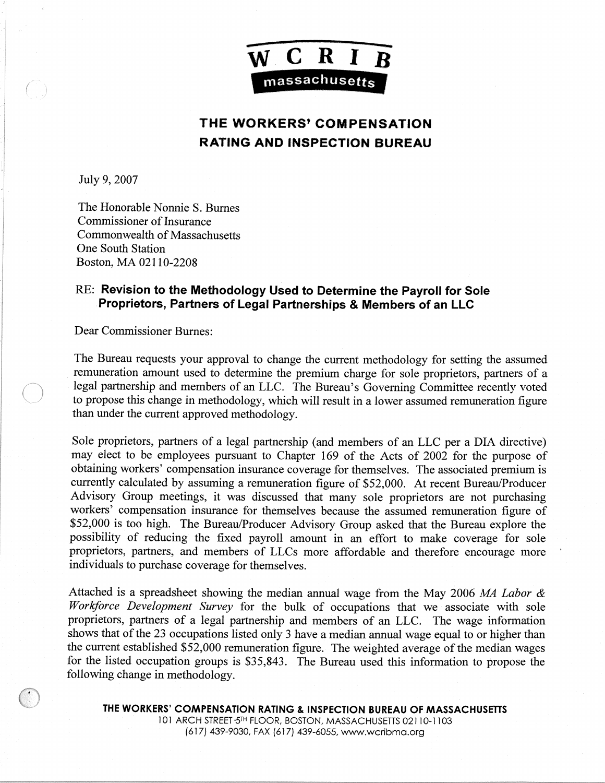

## **THE WORKERS' COMPENSATION RATING AND INSPECTION BUREAU**

July 9, 2007

The Honorable Nonnie S. Burnes Commissioner of Insurance Commonwealth of Massachusetts One South Station Boston, MA 02110-2208

### RE: Revision to the Methodology Used to Determine the Payroll for Sole Proprietors, Partners of Legal Partnerships & Members of an LLC

Dear Commissioner Burnes:

The Bureau requests your approval to change the current methodology for setting the assumed remuneration amount used to determine the premium charge for sole proprietors, partners of a legal partnership and members of an LLC. The Bureau's Governing Committee recently voted to propose this change in methodology, which will result in a lower assumed remuneration figure than under the current approved methodology.

Sole proprietors, partners of a legal partnership (and members of an LLC per a DIA directive) may elect to be employees pursuant to Chapter 169 of the Acts of 2002 for the purpose of obtaining workers' compensation insurance coverage for themselves. The associated premium is currently calculated by assuming a remuneration figure of \$52,000. At recent Bureau/Producer Advisory Group meetings, it was discussed that many sole proprietors are not purchasing workers' compensation insurance for themselves because the assumed remuneration figure of \$52,000 is too high. The Bureau/Producer Advisory Group asked that the Bureau explore the possibility of reducing the fixed payroll amount in an effort to make coverage for sole proprietors, partners, and members of LLCs more affordable and therefore encourage more individuals to purchase coverage for themselves.

Attached is a spreadsheet showing the median annual wage from the May 2006 MA Labor & Workforce Development Survey for the bulk of occupations that we associate with sole proprietors, partners of a legal partnership and members of an LLC. The wage information shows that of the 23 occupations listed only 3 have a median annual wage equal to or higher than the current established \$52,000 remuneration figure. The weighted average of the median wages for the listed occupation groups is \$35,843. The Bureau used this information to propose the following change in methodology.

THE WORKERS' COMPENSATION RATING & INSPECTION BUREAU OF MASSACHUSETTS 101 ARCH STREET 5TH FLOOR, BOSTON, MASSACHUSETTS 02110-1103 (617) 439-9030, FAX (617) 439-6055, www.wcribma.org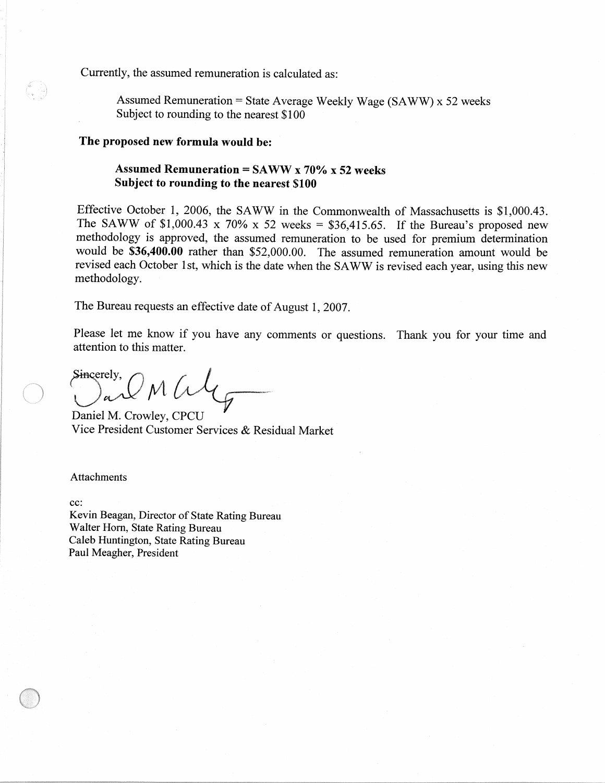Currently, the assumed remuneration is calculated as:

Assumed Remuneration = State Average Weekly Wage (SAWW) x 52 weeks Subject to rounding to the nearest \$100

#### The proposed new formula would be:

### Assumed Remuneration = SAWW x 70% x 52 weeks Subject to rounding to the nearest \$100

Effective October 1, 2006, the SAWW in the Commonwealth of Massachusetts is \$1,000.43. The SAWW of \$1,000.43 x 70% x 52 weeks = \$36,415.65. If the Bureau's proposed new methodology is approved, the assumed remuneration to be used for premium determination would be \$36,400.00 rather than \$52,000.00. The assumed remuneration amount would be revised each October 1st, which is the date when the SAWW is revised each year, using this new methodology.

The Bureau requests an effective date of August 1, 2007.

Please let me know if you have any comments or questions. Thank you for your time and attention to this matter.

Sincerely,  $^{\prime}$ M $\sqrt{\Lambda}$ 

Daniel M. Crowley, CPCU Vice President Customer Services & Residual Market

**Attachments** 

cc:

Kevin Beagan, Director of State Rating Bureau Walter Horn, State Rating Bureau Caleb Huntington, State Rating Bureau Paul Meagher, President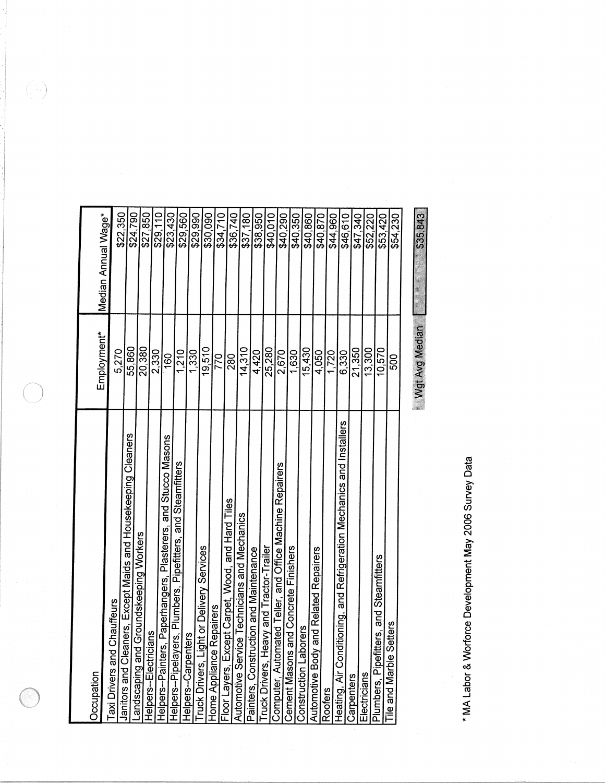| Occupation                                                                         | Employment*    | Median Annual Wage* |
|------------------------------------------------------------------------------------|----------------|---------------------|
| Chauffeurs<br>Taxi Drivers and                                                     | 5,270          | \$22,350            |
| Janitors and Cleaners, Except Maids and Housekeeping Cleaners                      | 55.860         | \$24,790            |
| Groundskeeping Workers<br>andscaping and                                           | 20,380         | \$27,850            |
| ans<br>Helpers-Electricia                                                          | 2,330          | \$29,110            |
| Helpers--Painters, Paperhangers, Plasterers, and Stucco Masons                     | 160            | \$23,430            |
| Helpers--Pipelayers, Plumbers, Pipefitters, and Steamfitters<br>Helpers--Carpent   | 1,210          | \$29,560            |
| ers                                                                                | 1.330          | \$29,990            |
| <b>Truck Drivers, Light or Delivery Services</b>                                   | 19,510         | \$30,090            |
|                                                                                    | 770            | \$34,710            |
| Home Appliance Repairers<br>Floor Layers, Except Carpet, Wood, and Hard Tiles      | 280            |                     |
| <b>Automotive Service Technicians and Mechanics</b>                                | 14,310         | \$36,740            |
| Painters, Construction and Maintenance<br>Truck Drivers, Heavy and Tractor-Trailer | 4.420          | \$38,950            |
|                                                                                    | 25,280         | \$40,010            |
| Computer, Automated Teller, and Office Machine Repairers                           | 2,670          | \$40,290            |
| Cement Masons and Concrete Finishers                                               | 1,630          | \$40,350            |
| orers<br><b>Construction Labo</b>                                                  | 15,430         | \$40,860            |
| and Related Repairers<br>Automotive Body                                           | 4,050          | \$40,870            |
| Roofers                                                                            | 1,720          | \$44,960            |
| itioning, and Refrigeration Mechanics and Installers<br>Heating, Air Cond          | 6.330          | \$46,610            |
| Carpenters                                                                         | 21,350         | \$47.340            |
| Electricians                                                                       | 13,300         | \$52,220            |
| and Steamfitters<br>Plumbers, Pipefitters,                                         | 10,570         | \$53,420            |
| Tile and Marble Setters                                                            | 500            | \$54,230            |
|                                                                                    | Wgt Avg Median | \$35,843            |

\* MA Labor & Worforce Development May 2006 Survey Data

 $\begin{pmatrix} 1 \\ 1 \end{pmatrix}$ 

 $\bigcirc$